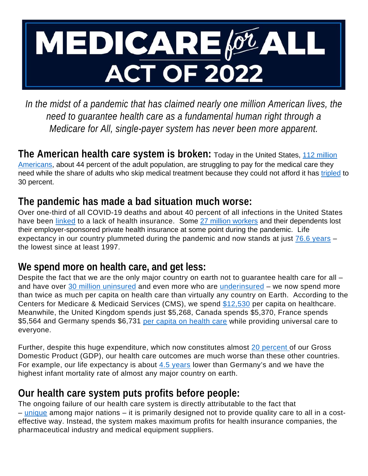

In the midst of a pandemic that has claimed nearly one million American lives, the *need to guarantee health care as a fundamental human right through a Medicare for All, single-payer system has never been more apparent.*

**The American health care system is broken:** Today in the United States, 112 million [Americans,](https://thehill.com/changing-america/3012358-112-million-americans-struggle-to-pay-for-healthcare-report/) about 44 percent of the adult population, are struggling to pay for the medical care they need while the share of adults who skip medical treatment because they could not afford it has [tripled](https://www.cbsnews.com/news/health-care-costs-rising-americans/) to 30 percent.

### **The pandemic has made a bad situation much worse:**

Over one-third of all COVID-19 deaths and about 40 percent of all infections in the United States have been [linked](https://familiesusa.org/resources/the-catastrophic-cost-of-uninsurance-covid-19-cases-and-deaths-closely-tied-to-americas-health-coverage-gaps/) to a lack of health insurance. Some [27 million workers](https://www.commonwealthfund.org/blog/2021/update-how-many-americans-have-lost-jobs-employer-health-coverage-during-pandemic) and their dependents lost their employer-sponsored private health insurance at some point during the pandemic. Life expectancy in our country plummeted during the pandemic and now stands at just [76.6 years](https://www.npr.org/sections/health-shots/2022/04/07/1091398423/u-s-life-expectancy-falls-for-2nd-year-in-a-row) – the lowest since at least 1997.

#### **We spend more on health care, and get less:**

Despite the fact that we are the only major country on earth not to guarantee health care for all – and have over [30 million uninsured](https://www.cdc.gov/nchs/data/nhis/earlyrelease/insur202205.pdf) and even more who are [underinsured](https://www.commonwealthfund.org/publications/issue-briefs/2020/aug/looming-crisis-health-coverage-2020-biennial) – we now spend more than twice as much per capita on health care than virtually any country on Earth. According to the Centers for Medicare & Medicaid Services (CMS), we spend [\\$12,530](https://www.cms.gov/Research-Statistics-Data-and-Systems/Statistics-Trends-and-Reports/NationalHealthExpendData/NHE-Fact-Sheet) per capita on healthcare. Meanwhile, the United Kingdom spends just \$5,268, Canada spends \$5,370, France spends \$5,564 and Germany spends \$6,731 [per capita on health care](https://data.oecd.org/healthres/health-spending.htm) while providing universal care to everyone.

Further, despite this huge expenditure, which now constitutes almost [20 percent](https://www.cms.gov/Research-Statistics-Data-and-Systems/Statistics-Trends-and-Reports/NationalHealthExpendData/NHE-Fact-Sheet) of our Gross Domestic Product (GDP), our health care outcomes are much worse than these other countries. For example, our life expectancy is about  $4.5$  years lower than Germany's and we have the highest infant mortality rate of almost any major country on earth.

## **Our health care system puts profits before people:**

The ongoing failure of our health care system is directly attributable to the fact that – [unique](https://urldefense.proofpoint.com/v2/url?u=http-3A__dpeaflcio.org_programs-2Dpublications_issue-2Dfact-2Dsheets_the-2Du-2Ds-2Dhealth-2Dcare-2Dsystem-2Dan-2Dinternational-2Dperspective_&d=DwMF-g&c=W8uiIUydLnv14aAum3Oieg&r=bB-tszZMv8VMHzen2RSVEczuhGUqTVLEraOy1rlGj3Q&m=a3ig1xxIafu0euTKGl2SqzbIs7xfSCzkhN8xE4fSkwM&s=5790mveECzHsozWiIkVrmSq9BAXFHd8DFBQaB9dQ5bY&e=) among major nations – it is primarily designed not to provide quality care to all in a costeffective way. Instead, the system makes maximum profits for health insurance companies, the pharmaceutical industry and medical equipment suppliers.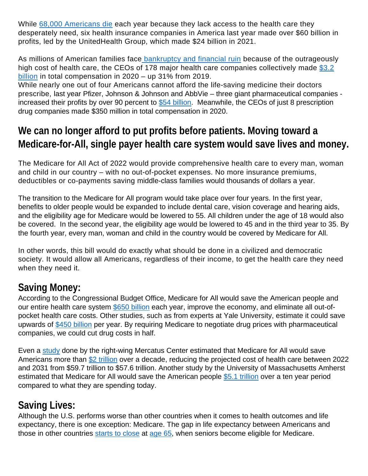While [68,000 Americans die](https://www.newsweek.com/medicare-all-would-save-450-billion-annually-while-preventing-68000-deaths-new-study-shows-1487862) each year because they lack access to the health care they desperately need, six health insurance companies in America last year made over \$60 billion in profits, led by the UnitedHealth Group, which made \$24 billion in 2021.

As millions of American families face [bankruptcy and financial ruin](https://urldefense.proofpoint.com/v2/url?u=https-3A__www.theatlantic.com_business_archive_2017_06_medical-2Dbills_530679_&d=DwMF-g&c=W8uiIUydLnv14aAum3Oieg&r=bB-tszZMv8VMHzen2RSVEczuhGUqTVLEraOy1rlGj3Q&m=a3ig1xxIafu0euTKGl2SqzbIs7xfSCzkhN8xE4fSkwM&s=V1f8pFeqO7QpSjPNgD5uNWumtZt8QtpORPsxYoh9fsA&e=) because of the outrageously high cost of health care, the CEOs of 178 major health care companies collectively made \$3.2 [billion](https://www.axios.com/2021/06/14/health-care-ceo-pay-2020-pandemic) in total compensation in 2020 – up 31% from 2019.

While nearly one out of four Americans cannot afford the life-saving medicine their doctors prescribe, last year Pfizer, Johnson & Johnson and AbbVie – three giant pharmaceutical companies - increased their profits by over 90 percent to [\\$54 billion.](https://www.accountable.us/wp-content/uploads/2022/03/2022-03-05-CPI-Pandemic-Profiteers-Report-1.pdf) Meanwhile, the CEOs of just 8 prescription drug companies made \$350 million in total compensation in 2020.

# **We can no longer afford to put profits before patients. Moving toward a Medicare-for-All, single payer health care system would save lives and money.**

The Medicare for All Act of 2022 would provide comprehensive health care to every man, woman and child in our country – with no out-of-pocket expenses. No more insurance premiums, deductibles or co-payments saving middle-class families would thousands of dollars a year.

The transition to the Medicare for All program would take place over four years. In the first year, benefits to older people would be expanded to include dental care, vision coverage and hearing aids, and the eligibility age for Medicare would be lowered to 55. All children under the age of 18 would also be covered. In the second year, the eligibility age would be lowered to 45 and in the third year to 35. By the fourth year, every man, woman and child in the country would be covered by Medicare for All.

In other words, this bill would do exactly what should be done in a civilized and democratic society. It would allow all Americans, regardless of their income, to get the health care they need when they need it.

## **Saving Money:**

According to the Congressional Budget Office, Medicare for All would save the American people and our entire health care system [\\$650 billion](https://www.cbo.gov/system/files/2020-12/56811-Single-Payer.pdf#page=13) each year, improve the economy, and eliminate all out-ofpocket health care costs. Other studies, such as from experts at Yale University, estimate it could save upwards of [\\$450 billion](https://pubmed.ncbi.nlm.nih.gov/32061298/) per year. By requiring Medicare to negotiate drug prices with pharmaceutical companies, we could cut drug costs in half.

Even a [study](https://www.mercatus.org/system/files/blahous-costs-medicare-mercatus-working-paper-v1_1.pdf) done by the right-wing Mercatus Center estimated that Medicare for All would save Americans more than [\\$2 trillion](https://thinkprogress.org/mercatis-medicare-for-all-study-0a8681353316/) over a decade, reducing the projected cost of health care between 2022 and 2031 from \$59.7 trillion to \$57.6 trillion. Another study by the University of Massachusetts Amherst estimated that Medicare for All would save the American people [\\$5.1 trillion](https://truthout.org/articles/new-study-shows-medicare-for-all-would-save-us-5-1-trillion-over-ten-years/) over a ten year period compared to what they are spending today.

# **Saving Lives:**

Although the U.S. performs worse than other countries when it comes to health outcomes and life expectancy, there is one exception: Medicare. The gap in life expectancy between Americans and those in other countries [starts to close](https://www.ncbi.nlm.nih.gov/books/NBK154489/) at [age 65,](https://data.oecd.org/healthstat/life-expectancy-at-65.htm#indicator-chart) when seniors become eligible for Medicare.